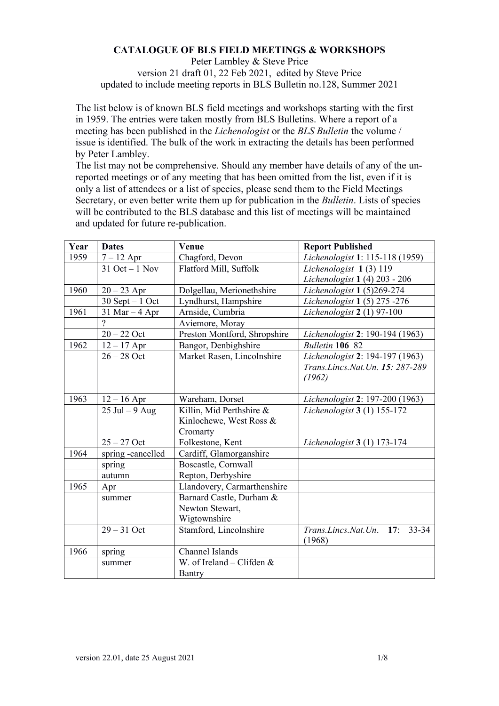## **CATALOGUE OF BLS FIELD MEETINGS & WORKSHOPS**

Peter Lambley & Steve Price version 21 draft 01, 22 Feb 2021, edited by Steve Price updated to include meeting reports in BLS Bulletin no.128, Summer 2021

The list below is of known BLS field meetings and workshops starting with the first in 1959. The entries were taken mostly from BLS Bulletins. Where a report of a meeting has been published in the *Lichenologist* or the *BLS Bulletin* the volume / issue is identified. The bulk of the work in extracting the details has been performed by Peter Lambley.

The list may not be comprehensive. Should any member have details of any of the unreported meetings or of any meeting that has been omitted from the list, even if it is only a list of attendees or a list of species, please send them to the Field Meetings Secretary, or even better write them up for publication in the *Bulletin*. Lists of species will be contributed to the BLS database and this list of meetings will be maintained and updated for future re-publication.

| Year | <b>Dates</b>       | Venue                        | <b>Report Published</b>                           |
|------|--------------------|------------------------------|---------------------------------------------------|
| 1959 | $7 - 12$ Apr       | Chagford, Devon              | Lichenologist 1: 115-118 (1959)                   |
|      | $31$ Oct $-1$ Nov  | Flatford Mill, Suffolk       | Lichenologist 1(3) 119                            |
|      |                    |                              | Lichenologist 1 (4) 203 - 206                     |
| 1960 | $20 - 23$ Apr      | Dolgellau, Merionethshire    | Lichenologist 1 (5)269-274                        |
|      | $30$ Sept $-1$ Oct | Lyndhurst, Hampshire         | Lichenologist 1 (5) 275 -276                      |
| 1961 | $31$ Mar $-4$ Apr  | Arnside, Cumbria             | Lichenologist $2(1)$ 97-100                       |
|      | $\overline{?}$     | Aviemore, Moray              |                                                   |
|      | $20 - 22$ Oct      | Preston Montford, Shropshire | Lichenologist 2: 190-194 (1963)                   |
| 1962 | $12 - 17$ Apr      | Bangor, Denbighshire         | Bulletin 106 82                                   |
|      | $26 - 28$ Oct      | Market Rasen, Lincolnshire   | Lichenologist 2: 194-197 (1963)                   |
|      |                    |                              | Trans. Lincs. Nat. Un. 15: 287-289                |
|      |                    |                              | (1962)                                            |
|      |                    |                              |                                                   |
| 1963 | $12 - 16$ Apr      | Wareham, Dorset              | Lichenologist 2: 197-200 (1963)                   |
|      | $25$ Jul $-9$ Aug  | Killin, Mid Perthshire &     | Lichenologist 3 (1) 155-172                       |
|      |                    | Kinlochewe, West Ross &      |                                                   |
|      |                    | Cromarty                     |                                                   |
|      | $25 - 27$ Oct      | Folkestone, Kent             | Lichenologist 3 (1) 173-174                       |
| 1964 | spring -cancelled  | Cardiff, Glamorganshire      |                                                   |
|      | spring             | Boscastle, Cornwall          |                                                   |
|      | autumn             | Repton, Derbyshire           |                                                   |
| 1965 | Apr                | Llandovery, Carmarthenshire  |                                                   |
|      | summer             | Barnard Castle, Durham &     |                                                   |
|      |                    | Newton Stewart,              |                                                   |
|      |                    | Wigtownshire                 |                                                   |
|      | $29 - 31$ Oct      | Stamford, Lincolnshire       | Trans. Lincs. Nat. Un. 17:<br>$33 - 34$<br>(1968) |
| 1966 | spring             | Channel Islands              |                                                   |
|      | summer             | W. of Ireland – Clifden $&$  |                                                   |
|      |                    | Bantry                       |                                                   |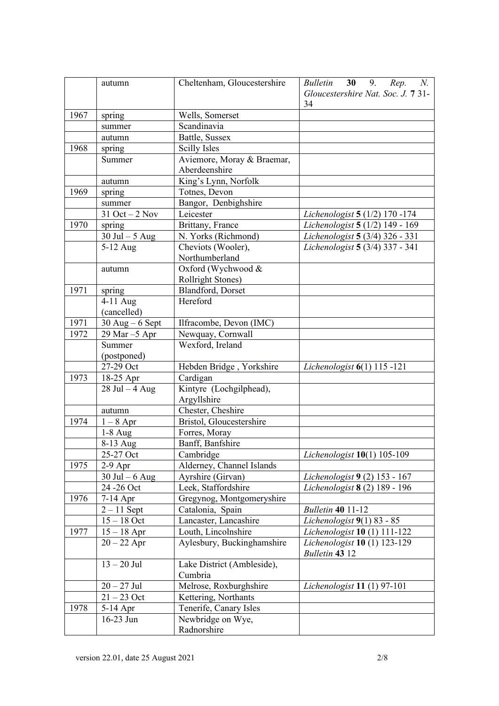|      | autumn            | Cheltenham, Gloucestershire | <b>Bulletin</b><br>30<br>9.<br>N.<br>Rep.<br>Gloucestershire Nat. Soc. J. 7 31-<br>34 |
|------|-------------------|-----------------------------|---------------------------------------------------------------------------------------|
| 1967 | spring            | Wells, Somerset             |                                                                                       |
|      | summer            | Scandinavia                 |                                                                                       |
|      | autumn            | Battle, Sussex              |                                                                                       |
| 1968 | spring            | Scilly Isles                |                                                                                       |
|      | Summer            | Aviemore, Moray & Braemar,  |                                                                                       |
|      |                   | Aberdeenshire               |                                                                                       |
|      | autumn            | King's Lynn, Norfolk        |                                                                                       |
| 1969 | spring            | Totnes, Devon               |                                                                                       |
|      | summer            | Bangor, Denbighshire        |                                                                                       |
|      | $31$ Oct $-2$ Nov | Leicester                   | Lichenologist 5 (1/2) 170 -174                                                        |
| 1970 | spring            | Brittany, France            | Lichenologist 5 (1/2) 149 - 169                                                       |
|      | $30$ Jul $-5$ Aug | N. Yorks (Richmond)         | Lichenologist 5 (3/4) 326 - 331                                                       |
|      | 5-12 Aug          | Cheviots (Wooler),          | Lichenologist 5 (3/4) 337 - 341                                                       |
|      |                   | Northumberland              |                                                                                       |
|      | autumn            | Oxford (Wychwood &          |                                                                                       |
|      |                   | <b>Rollright Stones)</b>    |                                                                                       |
| 1971 | spring            | Blandford, Dorset           |                                                                                       |
|      | 4-11 Aug          | Hereford                    |                                                                                       |
|      | (cancelled)       |                             |                                                                                       |
| 1971 | $30$ Aug – 6 Sept | Ilfracombe, Devon (IMC)     |                                                                                       |
| 1972 | 29 Mar -5 Apr     | Newquay, Cornwall           |                                                                                       |
|      | Summer            | Wexford, Ireland            |                                                                                       |
|      | (postponed)       |                             |                                                                                       |
|      | 27-29 Oct         | Hebden Bridge, Yorkshire    | Lichenologist $6(1)$ 115 -121                                                         |
| 1973 | 18-25 Apr         | Cardigan                    |                                                                                       |
|      | $28$ Jul $-4$ Aug | Kintyre (Lochgilphead),     |                                                                                       |
|      |                   | Argyllshire                 |                                                                                       |
|      | autumn            | Chester, Cheshire           |                                                                                       |
| 1974 | $1-8$ Apr         | Bristol, Gloucestershire    |                                                                                       |
|      | $1-8$ Aug         | Forres, Moray               |                                                                                       |
|      | 8-13 Aug          | Banff, Banfshire            |                                                                                       |
|      | 25-27 Oct         | Cambridge                   | <i>Lichenologist</i> $10(1)$ 105-109                                                  |
| 1975 | $2-9$ Apr         | Alderney, Channel Islands   |                                                                                       |
|      | $30$ Jul $-6$ Aug | Ayrshire (Girvan)           | Lichenologist 9 (2) 153 - 167                                                         |
|      | 24 - 26 Oct       | Leek, Staffordshire         | Lichenologist 8 (2) 189 - 196                                                         |
| 1976 | 7-14 Apr          | Gregynog, Montgomeryshire   |                                                                                       |
|      | $2 - 11$ Sept     | Catalonia, Spain            | <b>Bulletin 40 11-12</b>                                                              |
|      | $15 - 18$ Oct     | Lancaster, Lancashire       | Lichenologist $9(1)$ 83 - 85                                                          |
| 1977 | $15-18$ Apr $\,$  | Louth, Lincolnshire         | Lichenologist 10 (1) 111-122                                                          |
|      | $20 - 22$ Apr     | Aylesbury, Buckinghamshire  | Lichenologist 10 (1) 123-129                                                          |
|      |                   |                             | <b>Bulletin 43 12</b>                                                                 |
|      | $13 - 20$ Jul     | Lake District (Ambleside),  |                                                                                       |
|      |                   | Cumbria                     |                                                                                       |
|      | $20 - 27$ Jul     | Melrose, Roxburghshire      | Lichenologist 11 (1) 97-101                                                           |
|      | $21 - 23$ Oct     | Kettering, Northants        |                                                                                       |
| 1978 | 5-14 Apr          | Tenerife, Canary Isles      |                                                                                       |
|      | 16-23 Jun         | Newbridge on Wye,           |                                                                                       |
|      |                   | Radnorshire                 |                                                                                       |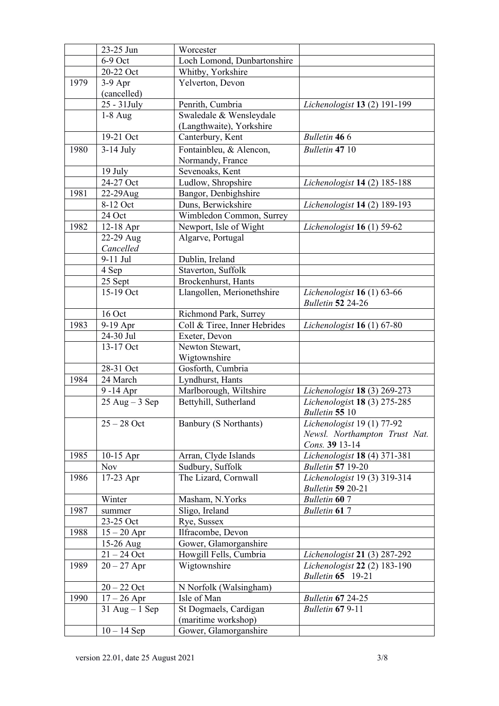|      | 23-25 Jun              | Worcester                    |                                                        |
|------|------------------------|------------------------------|--------------------------------------------------------|
|      | 6-9 Oct                | Loch Lomond, Dunbartonshire  |                                                        |
|      | 20-22 Oct              | Whitby, Yorkshire            |                                                        |
| 1979 | $3-9$ Apr              | Yelverton, Devon             |                                                        |
|      | (cancelled)            |                              |                                                        |
|      | 25 - 31 July           | Penrith, Cumbria             | Lichenologist 13 (2) 191-199                           |
|      | $1-8$ Aug              | Swaledale & Wensleydale      |                                                        |
|      |                        | (Langthwaite), Yorkshire     |                                                        |
|      | 19-21 Oct              | Canterbury, Kent             | <b>Bulletin 466</b>                                    |
| 1980 | $3-14$ July            | Fontainbleu, & Alencon,      | Bulletin 47 10                                         |
|      |                        | Normandy, France             |                                                        |
|      | 19 July                | Sevenoaks, Kent              |                                                        |
|      | 24-27 Oct              | Ludlow, Shropshire           | Lichenologist 14 (2) 185-188                           |
| 1981 | 22-29Aug               | Bangor, Denbighshire         |                                                        |
|      | 8-12 Oct               | Duns, Berwickshire           | Lichenologist 14 (2) 189-193                           |
|      | 24 Oct                 | Wimbledon Common, Surrey     |                                                        |
| 1982 |                        | Newport, Isle of Wight       |                                                        |
|      | 12-18 Apr<br>22-29 Aug | Algarve, Portugal            | Lichenologist $16(1)$ 59-62                            |
|      | Cancelled              |                              |                                                        |
|      | $9-11$ Jul             | Dublin, Ireland              |                                                        |
|      |                        | Staverton, Suffolk           |                                                        |
|      | 4 Sep<br>25 Sept       | Brockenhurst, Hants          |                                                        |
|      | 15-19 Oct              |                              |                                                        |
|      |                        | Llangollen, Merionethshire   | Lichenologist 16 (1) 63-66<br><b>Bulletin 52 24-26</b> |
|      | 16 Oct                 | Richmond Park, Surrey        |                                                        |
| 1983 | 9-19 Apr               | Coll & Tiree, Inner Hebrides | Lichenologist $16(1)$ 67-80                            |
|      | 24-30 Jul              | Exeter, Devon                |                                                        |
|      | 13-17 Oct              | Newton Stewart,              |                                                        |
|      |                        | Wigtownshire                 |                                                        |
|      | 28-31 Oct              | Gosforth, Cumbria            |                                                        |
| 1984 | 24 March               | Lyndhurst, Hants             |                                                        |
|      | 9-14 Apr               | Marlborough, Wiltshire       | Lichenologist 18 (3) 269-273                           |
|      | $25$ Aug $-3$ Sep      | Bettyhill, Sutherland        | Lichenologist 18 (3) 275-285                           |
|      |                        |                              | Bulletin 55 10                                         |
|      | $25 - 28$ Oct          | Banbury (S Northants)        | Lichenologist 19 (1) 77-92                             |
|      |                        |                              | Newsl. Northampton Trust Nat.                          |
|      |                        |                              | Cons. 39 13-14                                         |
| 1985 | $10-15$ Apr            | Arran, Clyde Islands         | Lichenologist 18 (4) 371-381                           |
|      | <b>Nov</b>             | Sudbury, Suffolk             | <b>Bulletin 57 19-20</b>                               |
| 1986 | 17-23 Apr              | The Lizard, Cornwall         | Lichenologist 19 (3) 319-314                           |
|      |                        |                              | <b>Bulletin 59 20-21</b>                               |
|      | Winter                 | Masham, N.Yorks              | <b>Bulletin 60 7</b>                                   |
| 1987 | summer                 | Sligo, Ireland               | <b>Bulletin 617</b>                                    |
|      | 23-25 Oct              | Rye, Sussex                  |                                                        |
| 1988 | $15 - 20$ Apr          | Ilfracombe, Devon            |                                                        |
|      | 15-26 Aug              | Gower, Glamorganshire        |                                                        |
|      | $21 - 24$ Oct          | Howgill Fells, Cumbria       | Lichenologist 21 (3) 287-292                           |
| 1989 | $20 - 27$ Apr          | Wigtownshire                 | Lichenologist 22 (2) 183-190                           |
|      |                        |                              | <b>Bulletin 65</b> 19-21                               |
|      | $20 - 22$ Oct          | N Norfolk (Walsingham)       |                                                        |
| 1990 | $17 - 26$ Apr          | Isle of Man                  | <b>Bulletin 67 24-25</b>                               |
|      | $31$ Aug $-1$ Sep      | St Dogmaels, Cardigan        | <b>Bulletin 67 9-11</b>                                |
|      |                        | (maritime workshop)          |                                                        |
|      | $10 - 14$ Sep          | Gower, Glamorganshire        |                                                        |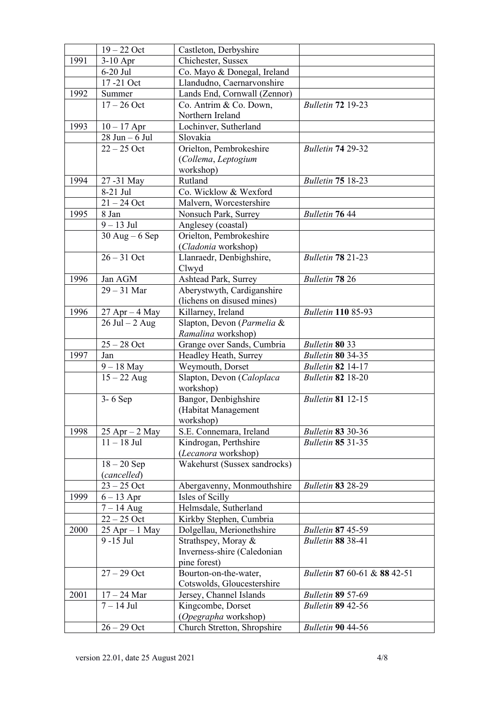|      | $19 - 22$ Oct         | Castleton, Derbyshire        |                              |
|------|-----------------------|------------------------------|------------------------------|
| 1991 | 3-10 Apr              | Chichester, Sussex           |                              |
|      | $6-20$ Jul            | Co. Mayo & Donegal, Ireland  |                              |
|      | 17-21 Oct             | Llandudno, Caernarvonshire   |                              |
| 1992 | Summer                | Lands End, Cornwall (Zennor) |                              |
|      | $17 - 26$ Oct         | Co. Antrim & Co. Down,       | <b>Bulletin 72 19-23</b>     |
|      |                       | Northern Ireland             |                              |
| 1993 | $10 - 17$ Apr         | Lochinver, Sutherland        |                              |
|      | $28$ Jun $-6$ Jul     | Slovakia                     |                              |
|      | $22 - 25$ Oct         | Orielton, Pembrokeshire      | Bulletin 74 29-32            |
|      |                       | (Collema, Leptogium          |                              |
|      |                       | workshop)                    |                              |
| 1994 | 27 -31 May            | Rutland                      | <b>Bulletin 75 18-23</b>     |
|      | 8-21 Jul              | Co. Wicklow & Wexford        |                              |
|      | $21 - 24$ Oct         | Malvern, Worcestershire      |                              |
| 1995 | 8 Jan                 | Nonsuch Park, Surrey         | <b>Bulletin 76 44</b>        |
|      | $9 - 13$ Jul          | Anglesey (coastal)           |                              |
|      | $30$ Aug – 6 Sep      | Orielton, Pembrokeshire      |                              |
|      |                       | (Cladonia workshop)          |                              |
|      | $26 - 31$ Oct         | Llanraedr, Denbighshire,     | <b>Bulletin 78 21-23</b>     |
|      |                       | Clwyd                        |                              |
| 1996 | Jan AGM               | Ashtead Park, Surrey         | Bulletin 78 26               |
|      | $29 - 31$ Mar         | Aberystwyth, Cardiganshire   |                              |
|      |                       | (lichens on disused mines)   |                              |
| 1996 | $27$ Apr $-4$ May     | Killarney, Ireland           | <b>Bulletin 110 85-93</b>    |
|      | $26$ Jul $-2$ Aug     | Slapton, Devon (Parmelia &   |                              |
|      |                       | Ramalina workshop)           |                              |
|      | $25 - 28$ Oct         | Grange over Sands, Cumbria   | Bulletin 80 33               |
| 1997 | Jan                   | Headley Heath, Surrey        | <b>Bulletin 80 34-35</b>     |
|      | $9 - 18$ May          | Weymouth, Dorset             | <b>Bulletin 82 14-17</b>     |
|      | $15 - 22$ Aug         | Slapton, Devon (Caloplaca    | <b>Bulletin 82 18-20</b>     |
|      |                       | workshop)                    |                              |
|      | 3-6 Sep               | Bangor, Denbighshire         | <b>Bulletin 81 12-15</b>     |
|      |                       | (Habitat Management          |                              |
|      |                       | workshop)                    |                              |
| 1998 | $25$ Apr $-2$ May     | S.E. Connemara, Ireland      | <b>Bulletin 83 30-36</b>     |
|      | $11 - 18$ Jul         | Kindrogan, Perthshire        | <b>Bulletin 85 31-35</b>     |
|      |                       | (Lecanora workshop)          |                              |
|      | $18 - 20$ Sep         | Wakehurst (Sussex sandrocks) |                              |
|      | (cancelled)           |                              |                              |
|      | $23 - 25$ Oct         | Abergavenny, Monmouthshire   | <b>Bulletin 83 28-29</b>     |
| 1999 | $6-13$ Apr            | Isles of Scilly              |                              |
|      | $7 - 14$ Aug          | Helmsdale, Sutherland        |                              |
|      | $22 - 25$ Oct         | Kirkby Stephen, Cumbria      |                              |
| 2000 | $25$ Apr $-1$ May     | Dolgellau, Merionethshire    | <b>Bulletin 87 45-59</b>     |
|      | 9 -15 Jul             | Strathspey, Moray &          | <b>Bulletin 88 38-41</b>     |
|      |                       | Inverness-shire (Caledonian  |                              |
|      |                       | pine forest)                 |                              |
|      | $27 - 29$ Oct         | Bourton-on-the-water,        | Bulletin 87 60-61 & 88 42-51 |
|      |                       | Cotswolds, Gloucestershire   |                              |
| 2001 | $17-24\ \mathrm{Mar}$ | Jersey, Channel Islands      | <b>Bulletin 89 57-69</b>     |
|      | $7 - 14$ Jul          | Kingcombe, Dorset            | <b>Bulletin 89 42-56</b>     |
|      |                       | (Opegrapha workshop)         |                              |
|      | $26 - 29$ Oct         | Church Stretton, Shropshire  | <b>Bulletin 90 44-56</b>     |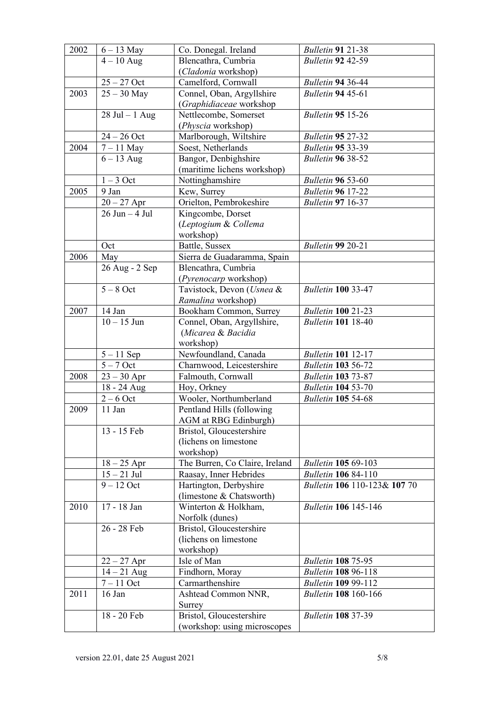| 2002<br>$6 - 13$ May<br>Bulletin 91 21-38<br>Co. Donegal. Ireland<br>Blencathra, Cumbria<br><b>Bulletin 92 42-59</b><br>$4 - 10$ Aug<br>(Cladonia workshop)<br>$25 - 27$ Oct<br>Camelford, Cornwall<br>Bulletin 94 36-44<br>2003<br>$25 - 30$ May<br>Connel, Oban, Argyllshire<br><b>Bulletin 94 45-61</b><br>(Graphidiaceae workshop<br>$28$ Jul $-1$ Aug<br>Nettlecombe, Somerset<br><b>Bulletin 95 15-26</b><br>(Physcia workshop)<br>$24 - 26$ Oct<br>Marlborough, Wiltshire<br><b>Bulletin 95 27-32</b><br>2004<br>$7 - 11$ May<br>Soest, Netherlands<br><b>Bulletin 95 33-39</b><br>Bangor, Denbighshire<br>$6 - 13$ Aug<br><b>Bulletin 96 38-52</b><br>(maritime lichens workshop)<br>$1-3$ Oct<br>Nottinghamshire<br><b>Bulletin 96 53-60</b><br>2005<br>9 Jan<br>Kew, Surrey<br><b>Bulletin 96 17-22</b><br>Orielton, Pembrokeshire<br>$20 - 27$ Apr<br><b>Bulletin 97 16-37</b><br>$26$ Jun $-4$ Jul<br>Kingcombe, Dorset<br>(Leptogium & Collema<br>workshop)<br>Battle, Sussex<br><b>Bulletin 99 20-21</b><br>Oct<br>2006<br>Sierra de Guadaramma, Spain<br>May<br>26 Aug - 2 Sep<br>Blencathra, Cumbria<br>(Pyrenocarp workshop)<br>$5 - 8$ Oct<br>Tavistock, Devon (Usnea &<br><b>Bulletin 100 33-47</b><br>Ramalina workshop)<br><b>Bulletin 100 21-23</b><br>2007<br>14 Jan<br>Bookham Common, Surrey<br>$10 - 15$ Jun<br><b>Bulletin 101</b> 18-40<br>Connel, Oban, Argyllshire,<br>(Micarea & Bacidia<br>workshop)<br>Newfoundland, Canada<br>$5 - 11$ Sep<br><b>Bulletin 101</b> 12-17<br>Charnwood, Leicestershire<br>$5 - 7$ Oct<br><b>Bulletin 103 56-72</b><br>Falmouth, Cornwall<br>2008<br>$23 - 30$ Apr<br><b>Bulletin 103 73-87</b><br>18 - 24 Aug<br>Hoy, Orkney<br><b>Bulletin 104 53-70</b><br>$2-6$ Oct<br>Wooler, Northumberland<br><b>Bulletin 105 54-68</b><br>$11$ Jan<br>2009<br>Pentland Hills (following<br>AGM at RBG Edinburgh)<br>13 - 15 Feb<br>Bristol, Gloucestershire<br>(lichens on limestone<br>workshop)<br>The Burren, Co Claire, Ireland<br><b>Bulletin 105 69-103</b><br>$18 - 25$ Apr<br>$15 - 21$ Jul<br>Raasay, Inner Hebrides<br><b>Bulletin 106 84-110</b><br>$9-12$ Oct<br>Hartington, Derbyshire<br>Bulletin 106 110-123& 107 70<br>(limestone & Chatsworth)<br>17 - 18 Jan<br>Winterton & Holkham,<br><b>Bulletin 106 145-146</b><br>2010<br>Norfolk (dunes)<br>26 - 28 Feb<br>Bristol, Gloucestershire<br>(lichens on limestone)<br>workshop)<br>Isle of Man<br><b>Bulletin 108 75-95</b><br>$22 - 27$ Apr<br>$14 - 21$ Aug<br>Findhorn, Moray<br><b>Bulletin 108 96-118</b><br>Carmarthenshire<br>$7-11$ Oct<br><b>Bulletin 109 99-112</b><br>2011<br>16 Jan<br>Ashtead Common NNR,<br><b>Bulletin 108 160-166</b><br>Surrey<br>18 - 20 Feb<br>Bristol, Gloucestershire<br><b>Bulletin 108 37-39</b> |  |                              |  |
|-------------------------------------------------------------------------------------------------------------------------------------------------------------------------------------------------------------------------------------------------------------------------------------------------------------------------------------------------------------------------------------------------------------------------------------------------------------------------------------------------------------------------------------------------------------------------------------------------------------------------------------------------------------------------------------------------------------------------------------------------------------------------------------------------------------------------------------------------------------------------------------------------------------------------------------------------------------------------------------------------------------------------------------------------------------------------------------------------------------------------------------------------------------------------------------------------------------------------------------------------------------------------------------------------------------------------------------------------------------------------------------------------------------------------------------------------------------------------------------------------------------------------------------------------------------------------------------------------------------------------------------------------------------------------------------------------------------------------------------------------------------------------------------------------------------------------------------------------------------------------------------------------------------------------------------------------------------------------------------------------------------------------------------------------------------------------------------------------------------------------------------------------------------------------------------------------------------------------------------------------------------------------------------------------------------------------------------------------------------------------------------------------------------------------------------------------------------------------------------------------------------------------------------------------------------------------------------------------------------------------------------------------------------------------------------------------------------------------------------------------------------------|--|------------------------------|--|
|                                                                                                                                                                                                                                                                                                                                                                                                                                                                                                                                                                                                                                                                                                                                                                                                                                                                                                                                                                                                                                                                                                                                                                                                                                                                                                                                                                                                                                                                                                                                                                                                                                                                                                                                                                                                                                                                                                                                                                                                                                                                                                                                                                                                                                                                                                                                                                                                                                                                                                                                                                                                                                                                                                                                                                   |  |                              |  |
|                                                                                                                                                                                                                                                                                                                                                                                                                                                                                                                                                                                                                                                                                                                                                                                                                                                                                                                                                                                                                                                                                                                                                                                                                                                                                                                                                                                                                                                                                                                                                                                                                                                                                                                                                                                                                                                                                                                                                                                                                                                                                                                                                                                                                                                                                                                                                                                                                                                                                                                                                                                                                                                                                                                                                                   |  |                              |  |
|                                                                                                                                                                                                                                                                                                                                                                                                                                                                                                                                                                                                                                                                                                                                                                                                                                                                                                                                                                                                                                                                                                                                                                                                                                                                                                                                                                                                                                                                                                                                                                                                                                                                                                                                                                                                                                                                                                                                                                                                                                                                                                                                                                                                                                                                                                                                                                                                                                                                                                                                                                                                                                                                                                                                                                   |  |                              |  |
|                                                                                                                                                                                                                                                                                                                                                                                                                                                                                                                                                                                                                                                                                                                                                                                                                                                                                                                                                                                                                                                                                                                                                                                                                                                                                                                                                                                                                                                                                                                                                                                                                                                                                                                                                                                                                                                                                                                                                                                                                                                                                                                                                                                                                                                                                                                                                                                                                                                                                                                                                                                                                                                                                                                                                                   |  |                              |  |
|                                                                                                                                                                                                                                                                                                                                                                                                                                                                                                                                                                                                                                                                                                                                                                                                                                                                                                                                                                                                                                                                                                                                                                                                                                                                                                                                                                                                                                                                                                                                                                                                                                                                                                                                                                                                                                                                                                                                                                                                                                                                                                                                                                                                                                                                                                                                                                                                                                                                                                                                                                                                                                                                                                                                                                   |  |                              |  |
|                                                                                                                                                                                                                                                                                                                                                                                                                                                                                                                                                                                                                                                                                                                                                                                                                                                                                                                                                                                                                                                                                                                                                                                                                                                                                                                                                                                                                                                                                                                                                                                                                                                                                                                                                                                                                                                                                                                                                                                                                                                                                                                                                                                                                                                                                                                                                                                                                                                                                                                                                                                                                                                                                                                                                                   |  |                              |  |
|                                                                                                                                                                                                                                                                                                                                                                                                                                                                                                                                                                                                                                                                                                                                                                                                                                                                                                                                                                                                                                                                                                                                                                                                                                                                                                                                                                                                                                                                                                                                                                                                                                                                                                                                                                                                                                                                                                                                                                                                                                                                                                                                                                                                                                                                                                                                                                                                                                                                                                                                                                                                                                                                                                                                                                   |  |                              |  |
|                                                                                                                                                                                                                                                                                                                                                                                                                                                                                                                                                                                                                                                                                                                                                                                                                                                                                                                                                                                                                                                                                                                                                                                                                                                                                                                                                                                                                                                                                                                                                                                                                                                                                                                                                                                                                                                                                                                                                                                                                                                                                                                                                                                                                                                                                                                                                                                                                                                                                                                                                                                                                                                                                                                                                                   |  |                              |  |
|                                                                                                                                                                                                                                                                                                                                                                                                                                                                                                                                                                                                                                                                                                                                                                                                                                                                                                                                                                                                                                                                                                                                                                                                                                                                                                                                                                                                                                                                                                                                                                                                                                                                                                                                                                                                                                                                                                                                                                                                                                                                                                                                                                                                                                                                                                                                                                                                                                                                                                                                                                                                                                                                                                                                                                   |  |                              |  |
|                                                                                                                                                                                                                                                                                                                                                                                                                                                                                                                                                                                                                                                                                                                                                                                                                                                                                                                                                                                                                                                                                                                                                                                                                                                                                                                                                                                                                                                                                                                                                                                                                                                                                                                                                                                                                                                                                                                                                                                                                                                                                                                                                                                                                                                                                                                                                                                                                                                                                                                                                                                                                                                                                                                                                                   |  |                              |  |
|                                                                                                                                                                                                                                                                                                                                                                                                                                                                                                                                                                                                                                                                                                                                                                                                                                                                                                                                                                                                                                                                                                                                                                                                                                                                                                                                                                                                                                                                                                                                                                                                                                                                                                                                                                                                                                                                                                                                                                                                                                                                                                                                                                                                                                                                                                                                                                                                                                                                                                                                                                                                                                                                                                                                                                   |  |                              |  |
|                                                                                                                                                                                                                                                                                                                                                                                                                                                                                                                                                                                                                                                                                                                                                                                                                                                                                                                                                                                                                                                                                                                                                                                                                                                                                                                                                                                                                                                                                                                                                                                                                                                                                                                                                                                                                                                                                                                                                                                                                                                                                                                                                                                                                                                                                                                                                                                                                                                                                                                                                                                                                                                                                                                                                                   |  |                              |  |
|                                                                                                                                                                                                                                                                                                                                                                                                                                                                                                                                                                                                                                                                                                                                                                                                                                                                                                                                                                                                                                                                                                                                                                                                                                                                                                                                                                                                                                                                                                                                                                                                                                                                                                                                                                                                                                                                                                                                                                                                                                                                                                                                                                                                                                                                                                                                                                                                                                                                                                                                                                                                                                                                                                                                                                   |  |                              |  |
|                                                                                                                                                                                                                                                                                                                                                                                                                                                                                                                                                                                                                                                                                                                                                                                                                                                                                                                                                                                                                                                                                                                                                                                                                                                                                                                                                                                                                                                                                                                                                                                                                                                                                                                                                                                                                                                                                                                                                                                                                                                                                                                                                                                                                                                                                                                                                                                                                                                                                                                                                                                                                                                                                                                                                                   |  |                              |  |
|                                                                                                                                                                                                                                                                                                                                                                                                                                                                                                                                                                                                                                                                                                                                                                                                                                                                                                                                                                                                                                                                                                                                                                                                                                                                                                                                                                                                                                                                                                                                                                                                                                                                                                                                                                                                                                                                                                                                                                                                                                                                                                                                                                                                                                                                                                                                                                                                                                                                                                                                                                                                                                                                                                                                                                   |  |                              |  |
|                                                                                                                                                                                                                                                                                                                                                                                                                                                                                                                                                                                                                                                                                                                                                                                                                                                                                                                                                                                                                                                                                                                                                                                                                                                                                                                                                                                                                                                                                                                                                                                                                                                                                                                                                                                                                                                                                                                                                                                                                                                                                                                                                                                                                                                                                                                                                                                                                                                                                                                                                                                                                                                                                                                                                                   |  |                              |  |
|                                                                                                                                                                                                                                                                                                                                                                                                                                                                                                                                                                                                                                                                                                                                                                                                                                                                                                                                                                                                                                                                                                                                                                                                                                                                                                                                                                                                                                                                                                                                                                                                                                                                                                                                                                                                                                                                                                                                                                                                                                                                                                                                                                                                                                                                                                                                                                                                                                                                                                                                                                                                                                                                                                                                                                   |  |                              |  |
|                                                                                                                                                                                                                                                                                                                                                                                                                                                                                                                                                                                                                                                                                                                                                                                                                                                                                                                                                                                                                                                                                                                                                                                                                                                                                                                                                                                                                                                                                                                                                                                                                                                                                                                                                                                                                                                                                                                                                                                                                                                                                                                                                                                                                                                                                                                                                                                                                                                                                                                                                                                                                                                                                                                                                                   |  |                              |  |
|                                                                                                                                                                                                                                                                                                                                                                                                                                                                                                                                                                                                                                                                                                                                                                                                                                                                                                                                                                                                                                                                                                                                                                                                                                                                                                                                                                                                                                                                                                                                                                                                                                                                                                                                                                                                                                                                                                                                                                                                                                                                                                                                                                                                                                                                                                                                                                                                                                                                                                                                                                                                                                                                                                                                                                   |  |                              |  |
|                                                                                                                                                                                                                                                                                                                                                                                                                                                                                                                                                                                                                                                                                                                                                                                                                                                                                                                                                                                                                                                                                                                                                                                                                                                                                                                                                                                                                                                                                                                                                                                                                                                                                                                                                                                                                                                                                                                                                                                                                                                                                                                                                                                                                                                                                                                                                                                                                                                                                                                                                                                                                                                                                                                                                                   |  |                              |  |
|                                                                                                                                                                                                                                                                                                                                                                                                                                                                                                                                                                                                                                                                                                                                                                                                                                                                                                                                                                                                                                                                                                                                                                                                                                                                                                                                                                                                                                                                                                                                                                                                                                                                                                                                                                                                                                                                                                                                                                                                                                                                                                                                                                                                                                                                                                                                                                                                                                                                                                                                                                                                                                                                                                                                                                   |  |                              |  |
|                                                                                                                                                                                                                                                                                                                                                                                                                                                                                                                                                                                                                                                                                                                                                                                                                                                                                                                                                                                                                                                                                                                                                                                                                                                                                                                                                                                                                                                                                                                                                                                                                                                                                                                                                                                                                                                                                                                                                                                                                                                                                                                                                                                                                                                                                                                                                                                                                                                                                                                                                                                                                                                                                                                                                                   |  |                              |  |
|                                                                                                                                                                                                                                                                                                                                                                                                                                                                                                                                                                                                                                                                                                                                                                                                                                                                                                                                                                                                                                                                                                                                                                                                                                                                                                                                                                                                                                                                                                                                                                                                                                                                                                                                                                                                                                                                                                                                                                                                                                                                                                                                                                                                                                                                                                                                                                                                                                                                                                                                                                                                                                                                                                                                                                   |  |                              |  |
|                                                                                                                                                                                                                                                                                                                                                                                                                                                                                                                                                                                                                                                                                                                                                                                                                                                                                                                                                                                                                                                                                                                                                                                                                                                                                                                                                                                                                                                                                                                                                                                                                                                                                                                                                                                                                                                                                                                                                                                                                                                                                                                                                                                                                                                                                                                                                                                                                                                                                                                                                                                                                                                                                                                                                                   |  |                              |  |
|                                                                                                                                                                                                                                                                                                                                                                                                                                                                                                                                                                                                                                                                                                                                                                                                                                                                                                                                                                                                                                                                                                                                                                                                                                                                                                                                                                                                                                                                                                                                                                                                                                                                                                                                                                                                                                                                                                                                                                                                                                                                                                                                                                                                                                                                                                                                                                                                                                                                                                                                                                                                                                                                                                                                                                   |  |                              |  |
|                                                                                                                                                                                                                                                                                                                                                                                                                                                                                                                                                                                                                                                                                                                                                                                                                                                                                                                                                                                                                                                                                                                                                                                                                                                                                                                                                                                                                                                                                                                                                                                                                                                                                                                                                                                                                                                                                                                                                                                                                                                                                                                                                                                                                                                                                                                                                                                                                                                                                                                                                                                                                                                                                                                                                                   |  |                              |  |
|                                                                                                                                                                                                                                                                                                                                                                                                                                                                                                                                                                                                                                                                                                                                                                                                                                                                                                                                                                                                                                                                                                                                                                                                                                                                                                                                                                                                                                                                                                                                                                                                                                                                                                                                                                                                                                                                                                                                                                                                                                                                                                                                                                                                                                                                                                                                                                                                                                                                                                                                                                                                                                                                                                                                                                   |  |                              |  |
|                                                                                                                                                                                                                                                                                                                                                                                                                                                                                                                                                                                                                                                                                                                                                                                                                                                                                                                                                                                                                                                                                                                                                                                                                                                                                                                                                                                                                                                                                                                                                                                                                                                                                                                                                                                                                                                                                                                                                                                                                                                                                                                                                                                                                                                                                                                                                                                                                                                                                                                                                                                                                                                                                                                                                                   |  |                              |  |
|                                                                                                                                                                                                                                                                                                                                                                                                                                                                                                                                                                                                                                                                                                                                                                                                                                                                                                                                                                                                                                                                                                                                                                                                                                                                                                                                                                                                                                                                                                                                                                                                                                                                                                                                                                                                                                                                                                                                                                                                                                                                                                                                                                                                                                                                                                                                                                                                                                                                                                                                                                                                                                                                                                                                                                   |  |                              |  |
|                                                                                                                                                                                                                                                                                                                                                                                                                                                                                                                                                                                                                                                                                                                                                                                                                                                                                                                                                                                                                                                                                                                                                                                                                                                                                                                                                                                                                                                                                                                                                                                                                                                                                                                                                                                                                                                                                                                                                                                                                                                                                                                                                                                                                                                                                                                                                                                                                                                                                                                                                                                                                                                                                                                                                                   |  |                              |  |
|                                                                                                                                                                                                                                                                                                                                                                                                                                                                                                                                                                                                                                                                                                                                                                                                                                                                                                                                                                                                                                                                                                                                                                                                                                                                                                                                                                                                                                                                                                                                                                                                                                                                                                                                                                                                                                                                                                                                                                                                                                                                                                                                                                                                                                                                                                                                                                                                                                                                                                                                                                                                                                                                                                                                                                   |  |                              |  |
|                                                                                                                                                                                                                                                                                                                                                                                                                                                                                                                                                                                                                                                                                                                                                                                                                                                                                                                                                                                                                                                                                                                                                                                                                                                                                                                                                                                                                                                                                                                                                                                                                                                                                                                                                                                                                                                                                                                                                                                                                                                                                                                                                                                                                                                                                                                                                                                                                                                                                                                                                                                                                                                                                                                                                                   |  |                              |  |
|                                                                                                                                                                                                                                                                                                                                                                                                                                                                                                                                                                                                                                                                                                                                                                                                                                                                                                                                                                                                                                                                                                                                                                                                                                                                                                                                                                                                                                                                                                                                                                                                                                                                                                                                                                                                                                                                                                                                                                                                                                                                                                                                                                                                                                                                                                                                                                                                                                                                                                                                                                                                                                                                                                                                                                   |  |                              |  |
|                                                                                                                                                                                                                                                                                                                                                                                                                                                                                                                                                                                                                                                                                                                                                                                                                                                                                                                                                                                                                                                                                                                                                                                                                                                                                                                                                                                                                                                                                                                                                                                                                                                                                                                                                                                                                                                                                                                                                                                                                                                                                                                                                                                                                                                                                                                                                                                                                                                                                                                                                                                                                                                                                                                                                                   |  |                              |  |
|                                                                                                                                                                                                                                                                                                                                                                                                                                                                                                                                                                                                                                                                                                                                                                                                                                                                                                                                                                                                                                                                                                                                                                                                                                                                                                                                                                                                                                                                                                                                                                                                                                                                                                                                                                                                                                                                                                                                                                                                                                                                                                                                                                                                                                                                                                                                                                                                                                                                                                                                                                                                                                                                                                                                                                   |  |                              |  |
|                                                                                                                                                                                                                                                                                                                                                                                                                                                                                                                                                                                                                                                                                                                                                                                                                                                                                                                                                                                                                                                                                                                                                                                                                                                                                                                                                                                                                                                                                                                                                                                                                                                                                                                                                                                                                                                                                                                                                                                                                                                                                                                                                                                                                                                                                                                                                                                                                                                                                                                                                                                                                                                                                                                                                                   |  |                              |  |
|                                                                                                                                                                                                                                                                                                                                                                                                                                                                                                                                                                                                                                                                                                                                                                                                                                                                                                                                                                                                                                                                                                                                                                                                                                                                                                                                                                                                                                                                                                                                                                                                                                                                                                                                                                                                                                                                                                                                                                                                                                                                                                                                                                                                                                                                                                                                                                                                                                                                                                                                                                                                                                                                                                                                                                   |  |                              |  |
|                                                                                                                                                                                                                                                                                                                                                                                                                                                                                                                                                                                                                                                                                                                                                                                                                                                                                                                                                                                                                                                                                                                                                                                                                                                                                                                                                                                                                                                                                                                                                                                                                                                                                                                                                                                                                                                                                                                                                                                                                                                                                                                                                                                                                                                                                                                                                                                                                                                                                                                                                                                                                                                                                                                                                                   |  |                              |  |
|                                                                                                                                                                                                                                                                                                                                                                                                                                                                                                                                                                                                                                                                                                                                                                                                                                                                                                                                                                                                                                                                                                                                                                                                                                                                                                                                                                                                                                                                                                                                                                                                                                                                                                                                                                                                                                                                                                                                                                                                                                                                                                                                                                                                                                                                                                                                                                                                                                                                                                                                                                                                                                                                                                                                                                   |  |                              |  |
|                                                                                                                                                                                                                                                                                                                                                                                                                                                                                                                                                                                                                                                                                                                                                                                                                                                                                                                                                                                                                                                                                                                                                                                                                                                                                                                                                                                                                                                                                                                                                                                                                                                                                                                                                                                                                                                                                                                                                                                                                                                                                                                                                                                                                                                                                                                                                                                                                                                                                                                                                                                                                                                                                                                                                                   |  |                              |  |
|                                                                                                                                                                                                                                                                                                                                                                                                                                                                                                                                                                                                                                                                                                                                                                                                                                                                                                                                                                                                                                                                                                                                                                                                                                                                                                                                                                                                                                                                                                                                                                                                                                                                                                                                                                                                                                                                                                                                                                                                                                                                                                                                                                                                                                                                                                                                                                                                                                                                                                                                                                                                                                                                                                                                                                   |  |                              |  |
|                                                                                                                                                                                                                                                                                                                                                                                                                                                                                                                                                                                                                                                                                                                                                                                                                                                                                                                                                                                                                                                                                                                                                                                                                                                                                                                                                                                                                                                                                                                                                                                                                                                                                                                                                                                                                                                                                                                                                                                                                                                                                                                                                                                                                                                                                                                                                                                                                                                                                                                                                                                                                                                                                                                                                                   |  |                              |  |
|                                                                                                                                                                                                                                                                                                                                                                                                                                                                                                                                                                                                                                                                                                                                                                                                                                                                                                                                                                                                                                                                                                                                                                                                                                                                                                                                                                                                                                                                                                                                                                                                                                                                                                                                                                                                                                                                                                                                                                                                                                                                                                                                                                                                                                                                                                                                                                                                                                                                                                                                                                                                                                                                                                                                                                   |  |                              |  |
|                                                                                                                                                                                                                                                                                                                                                                                                                                                                                                                                                                                                                                                                                                                                                                                                                                                                                                                                                                                                                                                                                                                                                                                                                                                                                                                                                                                                                                                                                                                                                                                                                                                                                                                                                                                                                                                                                                                                                                                                                                                                                                                                                                                                                                                                                                                                                                                                                                                                                                                                                                                                                                                                                                                                                                   |  |                              |  |
|                                                                                                                                                                                                                                                                                                                                                                                                                                                                                                                                                                                                                                                                                                                                                                                                                                                                                                                                                                                                                                                                                                                                                                                                                                                                                                                                                                                                                                                                                                                                                                                                                                                                                                                                                                                                                                                                                                                                                                                                                                                                                                                                                                                                                                                                                                                                                                                                                                                                                                                                                                                                                                                                                                                                                                   |  |                              |  |
|                                                                                                                                                                                                                                                                                                                                                                                                                                                                                                                                                                                                                                                                                                                                                                                                                                                                                                                                                                                                                                                                                                                                                                                                                                                                                                                                                                                                                                                                                                                                                                                                                                                                                                                                                                                                                                                                                                                                                                                                                                                                                                                                                                                                                                                                                                                                                                                                                                                                                                                                                                                                                                                                                                                                                                   |  |                              |  |
|                                                                                                                                                                                                                                                                                                                                                                                                                                                                                                                                                                                                                                                                                                                                                                                                                                                                                                                                                                                                                                                                                                                                                                                                                                                                                                                                                                                                                                                                                                                                                                                                                                                                                                                                                                                                                                                                                                                                                                                                                                                                                                                                                                                                                                                                                                                                                                                                                                                                                                                                                                                                                                                                                                                                                                   |  |                              |  |
|                                                                                                                                                                                                                                                                                                                                                                                                                                                                                                                                                                                                                                                                                                                                                                                                                                                                                                                                                                                                                                                                                                                                                                                                                                                                                                                                                                                                                                                                                                                                                                                                                                                                                                                                                                                                                                                                                                                                                                                                                                                                                                                                                                                                                                                                                                                                                                                                                                                                                                                                                                                                                                                                                                                                                                   |  |                              |  |
|                                                                                                                                                                                                                                                                                                                                                                                                                                                                                                                                                                                                                                                                                                                                                                                                                                                                                                                                                                                                                                                                                                                                                                                                                                                                                                                                                                                                                                                                                                                                                                                                                                                                                                                                                                                                                                                                                                                                                                                                                                                                                                                                                                                                                                                                                                                                                                                                                                                                                                                                                                                                                                                                                                                                                                   |  |                              |  |
|                                                                                                                                                                                                                                                                                                                                                                                                                                                                                                                                                                                                                                                                                                                                                                                                                                                                                                                                                                                                                                                                                                                                                                                                                                                                                                                                                                                                                                                                                                                                                                                                                                                                                                                                                                                                                                                                                                                                                                                                                                                                                                                                                                                                                                                                                                                                                                                                                                                                                                                                                                                                                                                                                                                                                                   |  |                              |  |
|                                                                                                                                                                                                                                                                                                                                                                                                                                                                                                                                                                                                                                                                                                                                                                                                                                                                                                                                                                                                                                                                                                                                                                                                                                                                                                                                                                                                                                                                                                                                                                                                                                                                                                                                                                                                                                                                                                                                                                                                                                                                                                                                                                                                                                                                                                                                                                                                                                                                                                                                                                                                                                                                                                                                                                   |  |                              |  |
|                                                                                                                                                                                                                                                                                                                                                                                                                                                                                                                                                                                                                                                                                                                                                                                                                                                                                                                                                                                                                                                                                                                                                                                                                                                                                                                                                                                                                                                                                                                                                                                                                                                                                                                                                                                                                                                                                                                                                                                                                                                                                                                                                                                                                                                                                                                                                                                                                                                                                                                                                                                                                                                                                                                                                                   |  |                              |  |
|                                                                                                                                                                                                                                                                                                                                                                                                                                                                                                                                                                                                                                                                                                                                                                                                                                                                                                                                                                                                                                                                                                                                                                                                                                                                                                                                                                                                                                                                                                                                                                                                                                                                                                                                                                                                                                                                                                                                                                                                                                                                                                                                                                                                                                                                                                                                                                                                                                                                                                                                                                                                                                                                                                                                                                   |  | (workshop: using microscopes |  |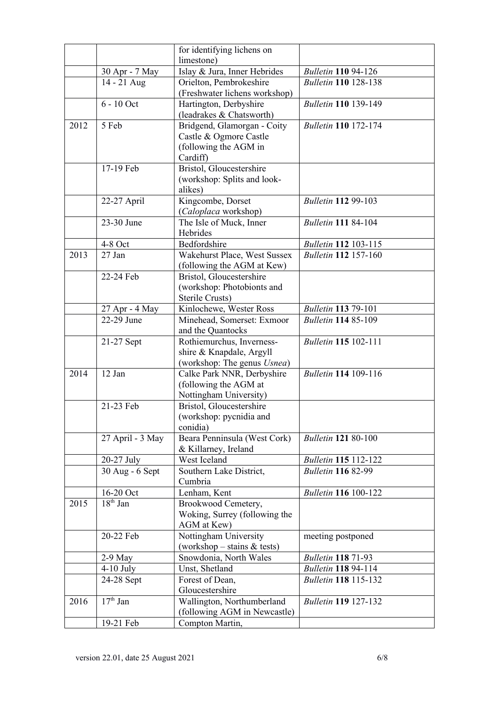|      |                         | for identifying lichens on                               |                             |
|------|-------------------------|----------------------------------------------------------|-----------------------------|
|      |                         | limestone)                                               |                             |
|      | 30 Apr - 7 May          | Islay & Jura, Inner Hebrides                             | <b>Bulletin 110 94-126</b>  |
|      | 14 - 21 Aug             | Orielton, Pembrokeshire<br>(Freshwater lichens workshop) | <b>Bulletin 110 128-138</b> |
|      | $6 - 10$ Oct            | Hartington, Derbyshire<br>(leadrakes & Chatsworth)       | <b>Bulletin 110 139-149</b> |
| 2012 | 5 Feb                   | Bridgend, Glamorgan - Coity                              | <b>Bulletin 110 172-174</b> |
|      |                         | Castle & Ogmore Castle                                   |                             |
|      |                         | (following the AGM in                                    |                             |
|      |                         | Cardiff)                                                 |                             |
|      | 17-19 Feb               | Bristol, Gloucestershire                                 |                             |
|      |                         | (workshop: Splits and look-                              |                             |
|      |                         | alikes)                                                  | <b>Bulletin 112 99-103</b>  |
|      | 22-27 April             | Kingcombe, Dorset<br>(Caloplaca workshop)                |                             |
|      | 23-30 June              | The Isle of Muck, Inner                                  | <b>Bulletin 111 84-104</b>  |
|      |                         | Hebrides                                                 |                             |
|      | 4-8 Oct                 | Bedfordshire                                             | <b>Bulletin 112 103-115</b> |
| 2013 | $27$ Jan                | Wakehurst Place, West Sussex                             | <b>Bulletin 112 157-160</b> |
|      |                         | (following the AGM at Kew)                               |                             |
|      | 22-24 Feb               | Bristol, Gloucestershire                                 |                             |
|      |                         | (workshop: Photobionts and                               |                             |
|      |                         | Sterile Crusts)                                          |                             |
|      | 27 Apr - 4 May          | Kinlochewe, Wester Ross                                  | <b>Bulletin 113 79-101</b>  |
|      | 22-29 June              | Minehead, Somerset: Exmoor                               | <b>Bulletin 114 85-109</b>  |
|      | 21-27 Sept              | and the Quantocks<br>Rothiemurchus, Inverness-           | <b>Bulletin 115 102-111</b> |
|      |                         | shire & Knapdale, Argyll                                 |                             |
|      |                         | (workshop: The genus <i>Usnea</i> )                      |                             |
| 2014 | 12 Jan                  | Calke Park NNR, Derbyshire                               | <b>Bulletin 114 109-116</b> |
|      |                         | (following the AGM at                                    |                             |
|      |                         | Nottingham University)                                   |                             |
|      | 21-23 Feb               | Bristol, Gloucestershire                                 |                             |
|      |                         | (workshop: pycnidia and                                  |                             |
|      |                         | conidia)                                                 |                             |
|      | 27 April - 3 May        | Beara Penninsula (West Cork)<br>& Killarney, Ireland     | <b>Bulletin 121 80-100</b>  |
|      | 20-27 July              | West Iceland                                             | <b>Bulletin 115 112-122</b> |
|      | 30 Aug - 6 Sept         | Southern Lake District,                                  | <b>Bulletin 116 82-99</b>   |
|      |                         | Cumbria                                                  |                             |
| 2015 | 16-20 Oct<br>$18th$ Jan | Lenham, Kent                                             | <b>Bulletin 116 100-122</b> |
|      |                         | Brookwood Cemetery,<br>Woking, Surrey (following the     |                             |
|      |                         | AGM at Kew)                                              |                             |
|      | 20-22 Feb               | Nottingham University                                    | meeting postponed           |
|      |                         | (workshop – stains $&$ tests)                            |                             |
|      | $2-9$ May               | Snowdonia, North Wales                                   | <b>Bulletin 118 71-93</b>   |
|      | $4-10$ July             | Unst, Shetland                                           | <b>Bulletin 118 94-114</b>  |
|      | 24-28 Sept              | Forest of Dean,                                          | <b>Bulletin 118 115-132</b> |
|      |                         | Gloucestershire                                          |                             |
| 2016 | $17th$ Jan              | Wallington, Northumberland                               | <b>Bulletin 119 127-132</b> |
|      |                         | (following AGM in Newcastle)                             |                             |
|      | 19-21 Feb               | Compton Martin,                                          |                             |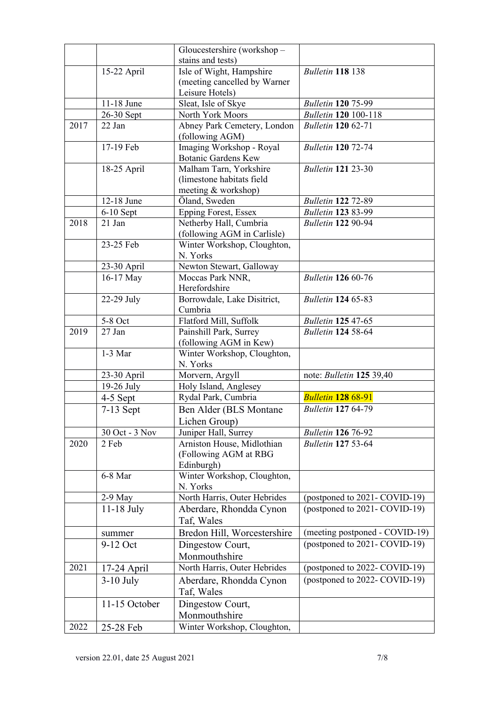|      |                | Gloucestershire (workshop -                                       |                                 |
|------|----------------|-------------------------------------------------------------------|---------------------------------|
|      |                | stains and tests)                                                 |                                 |
|      | 15-22 April    | Isle of Wight, Hampshire                                          | <b>Bulletin 118 138</b>         |
|      |                | (meeting cancelled by Warner                                      |                                 |
|      | 11-18 June     | Leisure Hotels)                                                   | <b>Bulletin 120 75-99</b>       |
|      | 26-30 Sept     | Sleat, Isle of Skye<br>North York Moors                           | <b>Bulletin 120 100-118</b>     |
| 2017 | 22 Jan         | Abney Park Cemetery, London                                       | <b>Bulletin 120 62-71</b>       |
|      |                | (following AGM)                                                   |                                 |
|      | 17-19 Feb      | Imaging Workshop - Royal<br><b>Botanic Gardens Kew</b>            | <b>Bulletin 120 72-74</b>       |
|      | 18-25 April    | Malham Tarn, Yorkshire<br>(limestone habitats field               | <b>Bulletin 121 23-30</b>       |
|      |                | meeting & workshop)                                               |                                 |
|      | 12-18 June     | Öland, Sweden                                                     | <b>Bulletin 122 72-89</b>       |
|      | $6-10$ Sept    | <b>Epping Forest, Essex</b>                                       | <b>Bulletin 123 83-99</b>       |
| 2018 | 21 Jan         | Netherby Hall, Cumbria<br>(following AGM in Carlisle)             | <b>Bulletin 122 90-94</b>       |
|      | 23-25 Feb      | Winter Workshop, Cloughton,                                       |                                 |
|      |                | N. Yorks                                                          |                                 |
|      | 23-30 April    | Newton Stewart, Galloway                                          |                                 |
|      | 16-17 May      | Moccas Park NNR,                                                  | <b>Bulletin 126 60-76</b>       |
|      |                | Herefordshire                                                     |                                 |
|      | 22-29 July     | Borrowdale, Lake Disitrict,<br>Cumbria                            | <b>Bulletin 124 65-83</b>       |
|      | 5-8 Oct        | Flatford Mill, Suffolk                                            | <b>Bulletin 125 47-65</b>       |
| 2019 | 27 Jan         | Painshill Park, Surrey                                            | <b>Bulletin 124 58-64</b>       |
|      |                | (following AGM in Kew)                                            |                                 |
|      | $1-3$ Mar      | Winter Workshop, Cloughton,<br>N. Yorks                           |                                 |
|      | 23-30 April    | Morvern, Argyll                                                   | note: <i>Bulletin</i> 125 39,40 |
|      | $19-26$ July   | Holy Island, Anglesey                                             |                                 |
|      | 4-5 Sept       | Rydal Park, Cumbria                                               | <b>Bulletin 128 68-91</b>       |
|      | $7-13$ Sept    | Ben Alder (BLS Montane<br>Lichen Group)                           | <b>Bulletin 127 64-79</b>       |
|      | 30 Oct - 3 Nov | Juniper Hall, Surrey                                              | <b>Bulletin 126 76-92</b>       |
| 2020 | 2 Feb          | Arniston House, Midlothian<br>(Following AGM at RBG<br>Edinburgh) | <b>Bulletin 127 53-64</b>       |
|      | 6-8 Mar        | Winter Workshop, Cloughton,<br>N. Yorks                           |                                 |
|      | $2-9$ May      | North Harris, Outer Hebrides                                      | (postponed to 2021- COVID-19)   |
|      | $11-18$ July   | Aberdare, Rhondda Cynon<br>Taf, Wales                             | (postponed to 2021- COVID-19)   |
|      | summer         | Bredon Hill, Worcestershire                                       | (meeting postponed - COVID-19)  |
|      | 9-12 Oct       | Dingestow Court,                                                  | (postponed to 2021- COVID-19)   |
|      |                | Monmouthshire                                                     |                                 |
| 2021 | 17-24 April    | North Harris, Outer Hebrides                                      | (postponed to 2022- COVID-19)   |
|      | $3-10$ July    | Aberdare, Rhondda Cynon<br>Taf, Wales                             | (postponed to 2022- COVID-19)   |
|      | 11-15 October  | Dingestow Court,                                                  |                                 |
|      |                | Monmouthshire                                                     |                                 |
| 2022 |                | Winter Workshop, Cloughton,                                       |                                 |
|      | 25-28 Feb      |                                                                   |                                 |